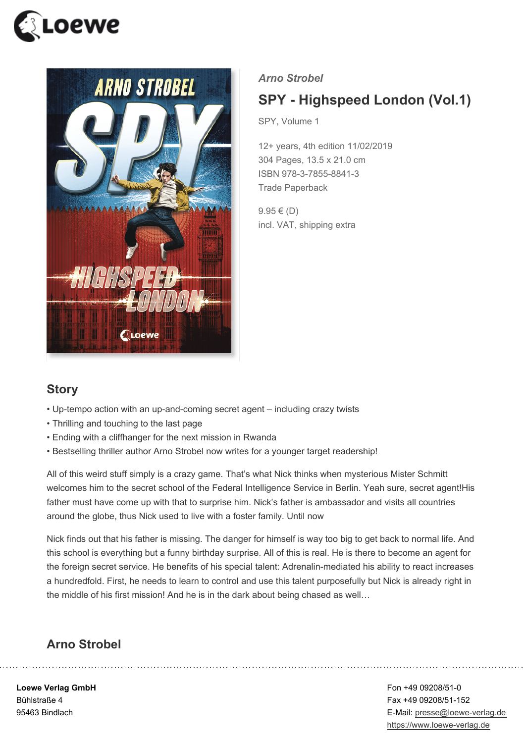



#### *Arno Strobel*

# **SPY - Highspeed London (Vol.1)**

SPY, Volume 1

12+ years, 4th edition 11/02/2019 304 Pages, 13.5 x 21.0 cm ISBN 978-3-7855-8841-3 Trade Paperback

 $9.95 \in (D)$ incl. VAT, shipping extra

## **Story**

- Up-tempo action with an up-and-coming secret agent including crazy twists
- Thrilling and touching to the last page
- Ending with a cliffhanger for the next mission in Rwanda
- Bestselling thriller author Arno Strobel now writes for a younger target readership!

All of this weird stuff simply is a crazy game. That's what Nick thinks when mysterious Mister Schmitt welcomes him to the secret school of the Federal Intelligence Service in Berlin. Yeah sure, secret agent!His father must have come up with that to surprise him. Nick's father is ambassador and visits all countries around the globe, thus Nick used to live with a foster family. Until now

Nick finds out that his father is missing. The danger for himself is way too big to get back to normal life. And this school is everything but a funny birthday surprise. All of this is real. He is there to become an agent for the foreign secret service. He benefits of his special talent: Adrenalin-mediated his ability to react increases a hundredfold. First, he needs to learn to control and use this talent purposefully but Nick is already right in the middle of his first mission! And he is in the dark about being chased as well…

#### **Arno Strobel**

**Loewe Verlag GmbH** Bühlstraße 4 95463 Bindlach

Fon +49 09208/51-0 Fax +49 09208/51-152 E-Mail: presse@loewe-verlag.de https://www.loewe-verlag.de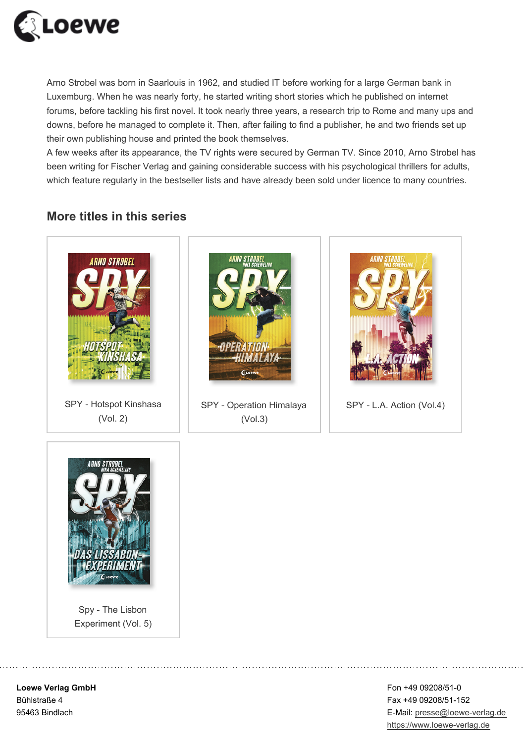

Arno Strobel was born in Saarlouis in 1962, and studied IT before working for a large German bank in Luxemburg. When he was nearly forty, he started writing short stories which he published on internet forums, before tackling his first novel. It took nearly three years, a research trip to Rome and many ups and downs, before he managed to complete it. Then, after failing to find a publisher, he and two friends set up their own publishing house and printed the book themselves.

A few weeks after its appearance, the TV rights were secured by German TV. Since 2010, Arno Strobel has been writing for Fischer Verlag and gaining considerable success with his psychological thrillers for adults, which feature regularly in the bestseller lists and have already been sold under licence to many countries.

### **More titles in this series**



SPY - Hotspot Kinshasa (Vol. 2)



SPY - Operation Himalaya (Vol.3)





Spy - The Lisbon Experiment (Vol. 5)

**Loewe Verlag GmbH** Bühlstraße 4 95463 Bindlach

Fon +49 09208/51-0 Fax +49 09208/51-152 E-Mail: presse@loewe-verlag.de https://www.loewe-verlag.de